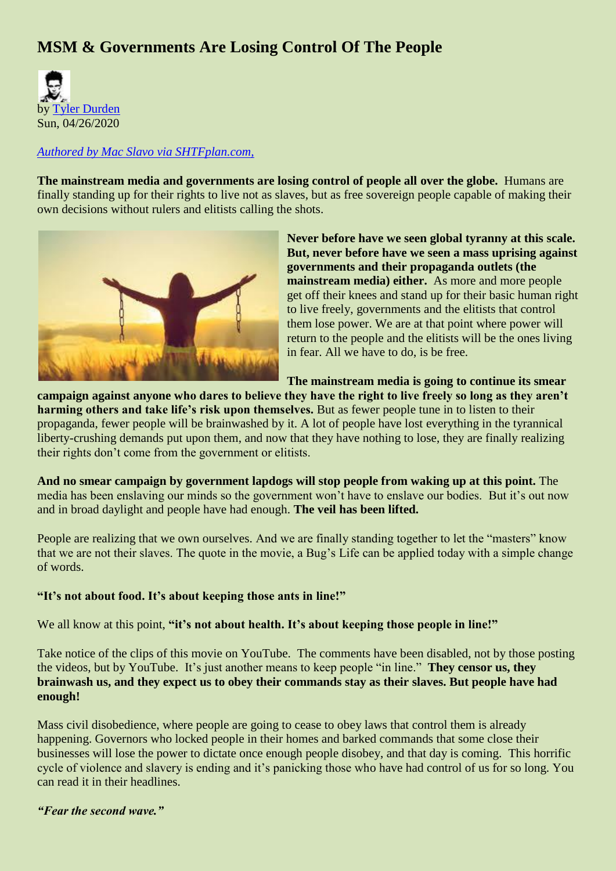# **MSM & Governments Are Losing Control Of The People**



#### *[Authored by Mac Slavo via SHTFplan.com,](https://www.shtfplan.com/headline-news/after-brainwashing-people-for-decades-msm-and-governments-are-losing-control-of-people_04242020)*

**The mainstream media and governments are losing control of people all over the globe.** Humans are finally standing up for their rights to live not as slaves, but as free sovereign people capable of making their own decisions without rulers and elitists calling the shots.



**Never before have we seen global tyranny at this scale. But, never before have we seen a mass uprising against governments and their propaganda outlets (the mainstream media) either.** As more and more people get off their knees and stand up for their basic human right to live freely, governments and the elitists that control them lose power. We are at that point where power will return to the people and the elitists will be the ones living in fear. All we have to do, is be free.

**The mainstream media is going to continue its smear** 

**campaign against anyone who dares to believe they have the right to live freely so long as they aren't harming others and take life's risk upon themselves.** But as fewer people tune in to listen to their propaganda, fewer people will be brainwashed by it. A lot of people have lost everything in the tyrannical liberty-crushing demands put upon them, and now that they have nothing to lose, they are finally realizing their rights don't come from the government or elitists.

**And no smear campaign by government lapdogs will stop people from waking up at this point.** The media has been enslaving our minds so the government won't have to enslave our bodies. But it's out now and in broad daylight and people have had enough. **The veil has been lifted.**

People are realizing that we own ourselves. And we are finally standing together to let the "masters" know that we are not their slaves. The quote in the movie, a Bug's Life can be applied today with a simple change of words.

#### **"It's not about food. It's about keeping those ants in line!"**

We all know at this point, "it's not about health. It's about keeping those people in line!"

Take notice of the clips of this movie on YouTube. The comments have been disabled, not by those posting the videos, but by YouTube. It's just another means to keep people "in line." **They censor us, they brainwash us, and they expect us to obey their commands stay as their slaves. But people have had enough!**

Mass civil disobedience, where people are going to cease to obey laws that control them is already happening. Governors who locked people in their homes and barked commands that some close their businesses will lose the power to dictate once enough people disobey, and that day is coming. This horrific cycle of violence and slavery is ending and it's panicking those who have had control of us for so long. You can read it in their headlines.

## *"Fear the second wave."*